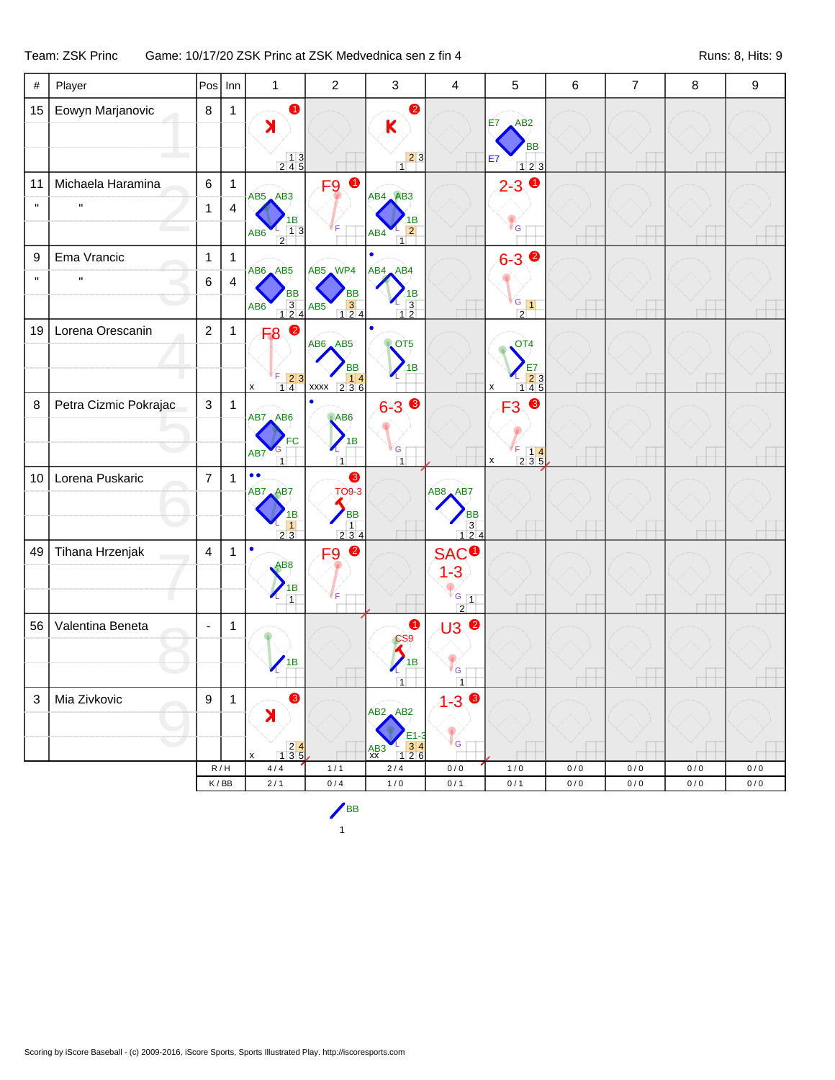## Team: ZSK Princ Game: 10/17/20 ZSK Princ at ZSK Medvednica sen z fin 4 Runs: 8, Hits: 9

| #            | Player                |                | $Pos$ Inn      | $\mathbf{1}$                                                                                                   | $\overline{2}$                                                                                   | $\mathfrak{Z}$                                                                                                                            | $\overline{4}$                                                 | 5                                                                                               | 6     | $\overline{7}$ | 8         | $\boldsymbol{9}$ |
|--------------|-----------------------|----------------|----------------|----------------------------------------------------------------------------------------------------------------|--------------------------------------------------------------------------------------------------|-------------------------------------------------------------------------------------------------------------------------------------------|----------------------------------------------------------------|-------------------------------------------------------------------------------------------------|-------|----------------|-----------|------------------|
| 15           | Eowyn Marjanovic      | $\,8\,$        | $\mathbf{1}$   | $\bullet$<br>X<br>$\begin{array}{c} 13 \\ 245 \end{array}$                                                     |                                                                                                  | $\bullet$<br>K<br>$\begin{array}{c c} \hline 2 & 3 \\ \hline 1 & 3 \end{array}$                                                           |                                                                | E7<br>AB <sub>2</sub><br><b>BB</b><br>E7<br>123                                                 |       |                |           |                  |
| 11           | Michaela Haramina     | $\,6$          | $\mathbf{1}$   | AB5 AB3                                                                                                        | $\bullet$<br>F <sub>9</sub>                                                                      | AB4 AB3                                                                                                                                   |                                                                | $\bullet$<br>$2 - 3$                                                                            |       |                |           |                  |
| $\mathbf{u}$ | $\mathbf{H}$          | $\mathbf{1}$   | $\overline{4}$ | 1В<br>13<br>AB6<br>$\overline{2}$                                                                              |                                                                                                  | 1B<br>$\overline{2}$<br>AB4<br>$\overline{1}$                                                                                             |                                                                | ¶ G                                                                                             |       |                |           |                  |
| 9            | Ema Vrancic           | $\mathbf{1}$   | $\mathbf{1}$   | $AB6$ $AB5$                                                                                                    | AB5 WP4                                                                                          | ٠<br>AB4 AB4                                                                                                                              |                                                                | $6 - 3$ $\bullet$                                                                               |       |                |           |                  |
| $\mathbf{u}$ | $\pmb{\mathsf{H}}$    | 6              | $\overline{4}$ | BB<br>$\begin{array}{c} 3 \\ 124 \end{array}$<br>AB <sub>6</sub>                                               | BB<br>$\begin{array}{ c c }\n\hline\n3 & 4 \\ \hline\n1 & 2 & 4\n\end{array}$<br>AB <sub>5</sub> | ΙB<br>$\frac{2}{1}$ 3                                                                                                                     |                                                                | $G_{1}$<br>$\sqrt{2}$                                                                           |       |                |           |                  |
| 19           | Lorena Orescanin      | $\overline{2}$ | $\mathbf{1}$   | $\bullet$<br>F <sub>8</sub><br>$\begin{array}{ c c }\n\hline\nF & 2 & 3 \\ 1 & 4 & \\\hline\n\end{array}$<br>x | AB6 AB5<br><b>BB</b><br>$\begin{array}{ c c c }\n\hline\nxxxx & 2 & 3 & 6\n\end{array}$          | $\bullet$<br><b>QCT5</b><br>в                                                                                                             |                                                                | OT <sub>4</sub><br>E7<br>$\begin{array}{r} 23 \\ 145 \end{array}$                               |       |                |           |                  |
| 8            | Petra Cizmic Pokrajac | $\mathbf{3}$   | $\overline{1}$ | AB7 AB6<br>FC<br>AB7<br>$\overline{1}$                                                                         | ABC<br>1B<br>$\overline{1}$                                                                      | $6 - 3$<br>G<br>$\overline{1}$                                                                                                            |                                                                | $\bullet$<br>F <sub>3</sub><br>F<br>$\begin{bmatrix} 5 & 1 & 4 \\ 2 & 3 & 5 \end{bmatrix}$<br>X |       |                |           |                  |
| 10           | Lorena Puskaric       | $\overline{7}$ | $\overline{1}$ | $\bullet$<br>AB7 AB7<br>1B<br>$\frac{1}{2}$ $\frac{1}{3}$                                                      | ❸<br><b>TO9-3</b><br><b>BB</b><br>234                                                            |                                                                                                                                           | AB8 AB7<br>ВB<br>$\begin{array}{c} 3 \\ 1 \ 2 \ 4 \end{array}$ |                                                                                                 |       |                |           |                  |
| 49           | Tihana Hrzenjak       | $\overline{4}$ | $\mathbf{1}$   | $\bullet$<br>AB <sub>8</sub><br>1B<br>$\overline{1}$                                                           | $\bullet$<br>F <sub>9</sub>                                                                      |                                                                                                                                           | <b>SAC<sup>O</sup></b><br>$1 - 3$<br>$G_{1}$                   |                                                                                                 |       |                |           |                  |
| 56           | Valentina Beneta      | $\blacksquare$ | $\mathbf{1}$   | 1B                                                                                                             |                                                                                                  | 0<br>CS9<br>1B<br>$\overline{1}$                                                                                                          | $\sqrt{2}$<br><b>U3 ◎</b><br><sup>r</sup> G<br>$\overline{1}$  |                                                                                                 |       |                |           |                  |
| 3            | Mia Zivkovic          | 9              | 1              | ❸<br>X<br>$\begin{array}{ c c }\n\hline\n2 & 4 \\ 1 & 3 & 5\n\end{array}$<br>x                                 |                                                                                                  | $AB2$ $AB2$<br>E1-3<br>$\begin{array}{ c c }\n \hline\n 1 & 3 & 4 \\  \hline\n 1 & 2 & 6\n \end{array}$<br>$\frac{\text{AB3}}{\text{XX}}$ | ❸<br>$1 - 3$<br>ľ G                                            |                                                                                                 |       |                |           |                  |
|              |                       |                | R/H            | $4\,/\,4$                                                                                                      | 1/1                                                                                              | $2\sqrt{4}$                                                                                                                               | 0/0                                                            | $1/0$                                                                                           | 0/0   | 0/0            | 0/0       | 0/0              |
|              |                       |                | K/BB           | $2/1$                                                                                                          | $0/4$                                                                                            | $1/0$                                                                                                                                     | 0/1                                                            | 0/1                                                                                             | $0/0$ | $0/0$          | $0\,/\,0$ | $0/0$            |

1 BB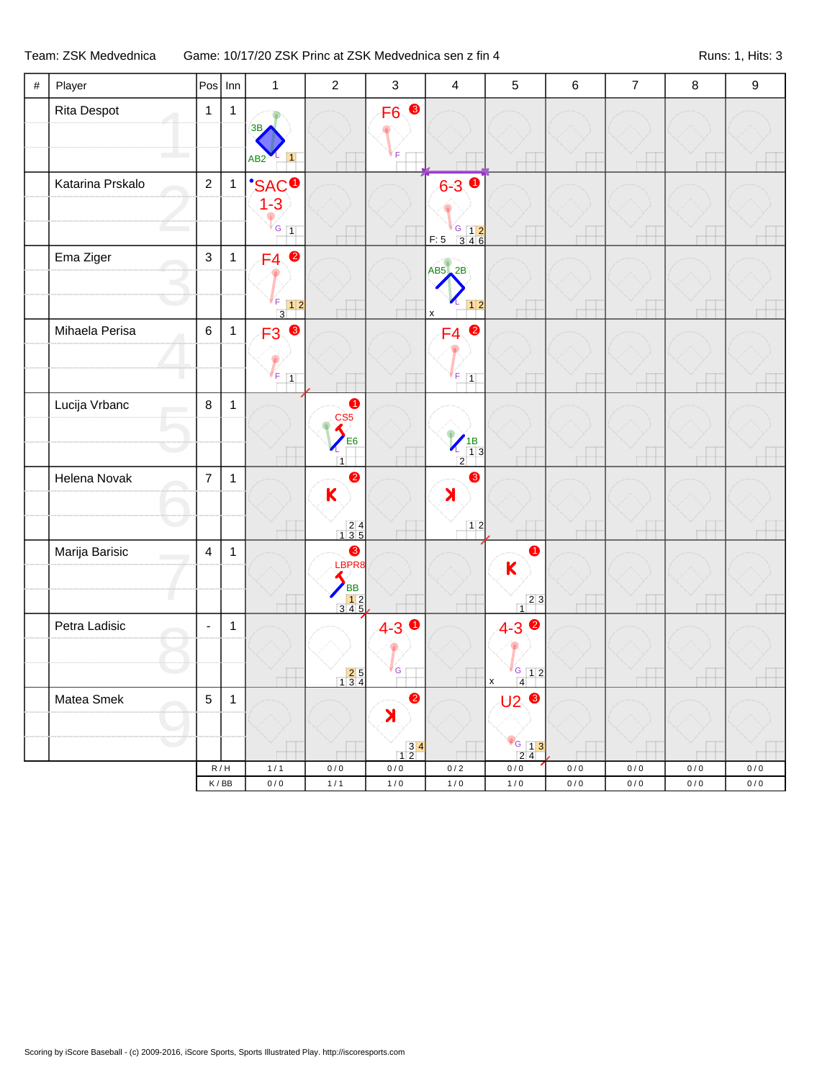## Team: ZSK Medvednica Game: 10/17/20 ZSK Princ at ZSK Medvednica sen z fin 4 Runs: 1, Hits: 3

| $\#$ | Player              |                         | $Pos$ Inn                          | $\mathbf{1}$                                          | $\sqrt{2}$                                                            | $\mathfrak{Z}$     | $\overline{4}$                                                   | $\mathbf 5$                                                 | $\,6\,$          | $\overline{7}$         | $\bf 8$                | $\boldsymbol{9}$   |
|------|---------------------|-------------------------|------------------------------------|-------------------------------------------------------|-----------------------------------------------------------------------|--------------------|------------------------------------------------------------------|-------------------------------------------------------------|------------------|------------------------|------------------------|--------------------|
|      | Rita Despot         | $\mathbf{1}$            | $\mathbf{1}$                       | 3B<br>AB2                                             |                                                                       | F <sub>6</sub>     |                                                                  |                                                             |                  |                        |                        |                    |
|      | Katarina Prskalo    | $\sqrt{2}$              | $\mathbf{1}$                       | $\frac{1}{1}$ SAC <sup>O</sup><br>$G$ 1               |                                                                       |                    | $6 - 3$ $\bullet$<br>F:5 346                                     |                                                             |                  |                        |                        |                    |
|      | Ema Ziger           | $\mathsf 3$             | $\mathbf{1}$                       | $\bullet$<br>F4                                       |                                                                       |                    | $AB5$ $2B$<br>$12$                                               |                                                             |                  |                        |                        |                    |
|      | Mihaela Perisa      | $\,6\,$                 | $\mathbf{1}$                       | $\overline{3}$<br>$\bullet$<br>F3<br>F<br>$\boxed{1}$ |                                                                       |                    | $\pmb{\mathsf{x}}$<br>$\bullet$<br>FA<br>F<br>$\boxed{1}$        |                                                             |                  |                        |                        |                    |
|      | Lucija Vrbanc       | $\,8\,$                 | $\mathbf{1}$                       |                                                       | $\bullet$<br>CS <sub>5</sub><br>E6<br>$\overline{1}$                  |                    | $\begin{array}{c}\n 1B \\  13 \\  2\n \end{array}$<br>$\sqrt{2}$ |                                                             |                  |                        |                        |                    |
|      | Helena Novak        | $\overline{7}$          | $\mathbf{1}$                       |                                                       | $\bullet$<br>$\mathsf{K}$<br>$\begin{array}{r} 24 \\ 135 \end{array}$ |                    | 6<br>$\blacktriangleright$<br>12                                 |                                                             |                  |                        |                        |                    |
|      | Marija Barisic<br>O | $\overline{\mathbf{4}}$ | $\mathbf{1}$                       |                                                       | ❸<br>LBPR8<br>BB<br>12<br>345                                         |                    |                                                                  | 1<br>$\mathsf{K}$<br>$\begin{array}{c c} 2 & 3 \end{array}$ |                  |                        |                        |                    |
|      | Petra Ladisic       | $\blacksquare$          | $\mathbf{1}$                       |                                                       | $\begin{array}{ c c }\n\hline\n2 & 5 \\ 1 & 3 & 4\n\end{array}$       | $4 - 3$ 0<br>G     |                                                                  | $4 - 3$<br>$G$ 12<br>$\overline{4}$<br>X                    |                  |                        |                        |                    |
|      | Matea Smek          | $\sqrt{5}$              | $\mathbf{1}$                       |                                                       |                                                                       | 2<br>X             |                                                                  | $U2$ $\odot$                                                |                  |                        |                        |                    |
|      |                     |                         |                                    |                                                       |                                                                       | $\frac{34}{12}$    |                                                                  | $\frac{8}{2}$ $\frac{13}{2}$                                |                  |                        |                        |                    |
|      |                     |                         | R/H<br>$\mathsf K\,/\,\mathsf{BB}$ | $1/1$<br>$0/0$                                        | 0/0<br>$1/1$                                                          | $0\,/\,0$<br>$1/0$ | $0/2$<br>$1/0$                                                   | $0\,/\,0$<br>$1/0$                                          | 0/0<br>$0\,/\,0$ | $0\,/\,0$<br>$0\,/\,0$ | $0\,/\,0$<br>$0\,/\,0$ | $0/0$<br>$0\,/\,0$ |